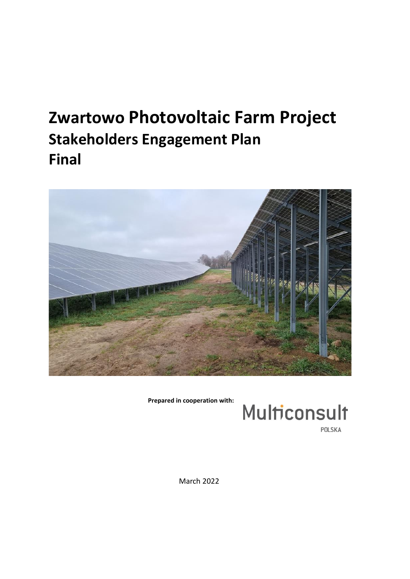# **Zwartowo Photovoltaic Farm Project Stakeholders Engagement Plan Final**



**Prepared in cooperation with:**



POLSKA

March 2022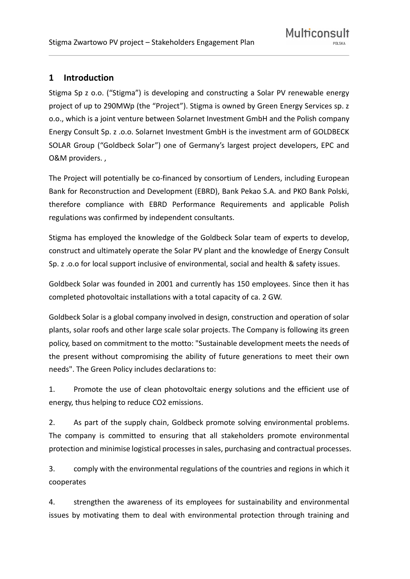# **1 Introduction**

Stigma Sp z o.o. ("Stigma") is developing and constructing a Solar PV renewable energy project of up to 290MWp (the "Project"). Stigma is owned by Green Energy Services sp. z o.o., which is a joint venture between Solarnet Investment GmbH and the Polish company Energy Consult Sp. z .o.o. Solarnet Investment GmbH is the investment arm of GOLDBECK SOLAR Group ("Goldbeck Solar") one of Germany's largest project developers, EPC and O&M providers. ,

The Project will potentially be co-financed by consortium of Lenders, including European Bank for Reconstruction and Development (EBRD), Bank Pekao S.A. and PKO Bank Polski, therefore compliance with EBRD Performance Requirements and applicable Polish regulations was confirmed by independent consultants.

Stigma has employed the knowledge of the Goldbeck Solar team of experts to develop, construct and ultimately operate the Solar PV plant and the knowledge of Energy Consult Sp. z .o.o for local support inclusive of environmental, social and health & safety issues.

Goldbeck Solar was founded in 2001 and currently has 150 employees. Since then it has completed photovoltaic installations with a total capacity of ca. 2 GW.

Goldbeck Solar is a global company involved in design, construction and operation of solar plants, solar roofs and other large scale solar projects. The Company is following its green policy, based on commitment to the motto: "Sustainable development meets the needs of the present without compromising the ability of future generations to meet their own needs". The Green Policy includes declarations to:

1. Promote the use of clean photovoltaic energy solutions and the efficient use of energy, thus helping to reduce CO2 emissions.

2. As part of the supply chain, Goldbeck promote solving environmental problems. The company is committed to ensuring that all stakeholders promote environmental protection and minimise logistical processes in sales, purchasing and contractual processes.

3. comply with the environmental regulations of the countries and regions in which it cooperates

4. strengthen the awareness of its employees for sustainability and environmental issues by motivating them to deal with environmental protection through training and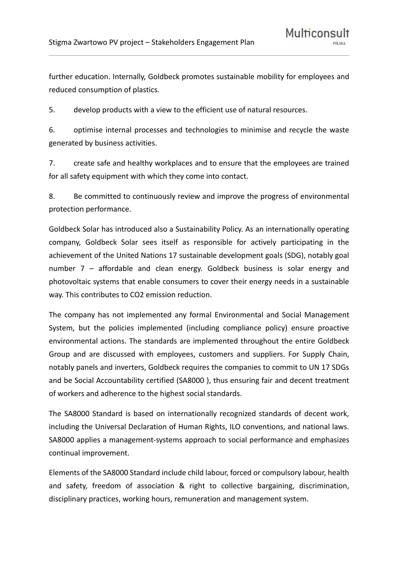further education. Internally, Goldbeck promotes sustainable mobility for employees and reduced consumption of plastics.

5. develop products with a view to the efficient use of natural resources.

6. optimise internal processes and technologies to minimise and recycle the waste generated by business activities.

7. create safe and healthy workplaces and to ensure that the employees are trained for all safety equipment with which they come into contact.

8. Be committed to continuously review and improve the progress of environmental protection performance.

Goldbeck Solar has introduced also a Sustainability Policy. As an internationally operating company, Goldbeck Solar sees itself as responsible for actively participating in the achievement of the United Nations 17 sustainable development goals (SDG), notably goal number 7 – affordable and clean energy. Goldbeck business is solar energy and photovoltaic systems that enable consumers to cover their energy needs in a sustainable way. This contributes to CO2 emission reduction.

The company has not implemented any formal Environmental and Social Management System, but the policies implemented (including compliance policy) ensure proactive environmental actions. The standards are implemented throughout the entire Goldbeck Group and are discussed with employees, customers and suppliers. For Supply Chain, notably panels and inverters, Goldbeck requires the companies to commit to UN 17 SDGs and be Social Accountability certified (SA8000 ), thus ensuring fair and decent treatment of workers and adherence to the highest social standards.

The SA8000 Standard is based on internationally recognized standards of decent work, including the Universal Declaration of Human Rights, ILO conventions, and national laws. SA8000 applies a management-systems approach to social performance and emphasizes continual improvement.

Elements of the SA8000 Standard include child labour, forced or compulsory labour, health and safety, freedom of association & right to collective bargaining, discrimination, disciplinary practices, working hours, remuneration and management system.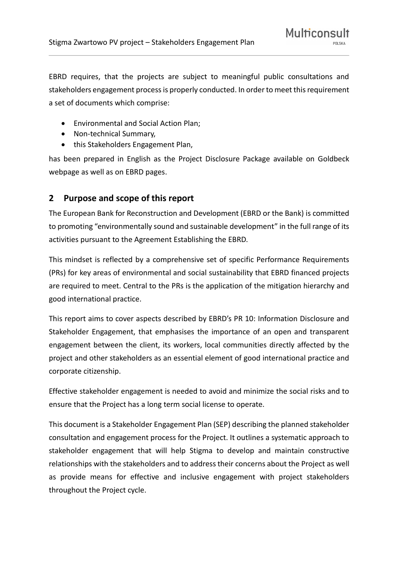EBRD requires, that the projects are subject to meaningful public consultations and stakeholders engagement process is properly conducted. In order to meet this requirement a set of documents which comprise:

- Environmental and Social Action Plan;
- Non-technical Summary,
- this Stakeholders Engagement Plan,

has been prepared in English as the Project Disclosure Package available on Goldbeck webpage as well as on EBRD pages.

## **2 Purpose and scope of this report**

The European Bank for Reconstruction and Development (EBRD or the Bank) is committed to promoting "environmentally sound and sustainable development" in the full range of its activities pursuant to the Agreement Establishing the EBRD.

This mindset is reflected by a comprehensive set of specific Performance Requirements (PRs) for key areas of environmental and social sustainability that EBRD financed projects are required to meet. Central to the PRs is the application of the mitigation hierarchy and good international practice.

This report aims to cover aspects described by EBRD's PR 10: Information Disclosure and Stakeholder Engagement, that emphasises the importance of an open and transparent engagement between the client, its workers, local communities directly affected by the project and other stakeholders as an essential element of good international practice and corporate citizenship.

Effective stakeholder engagement is needed to avoid and minimize the social risks and to ensure that the Project has a long term social license to operate.

This document is a Stakeholder Engagement Plan (SEP) describing the planned stakeholder consultation and engagement process for the Project. It outlines a systematic approach to stakeholder engagement that will help Stigma to develop and maintain constructive relationships with the stakeholders and to address their concerns about the Project as well as provide means for effective and inclusive engagement with project stakeholders throughout the Project cycle.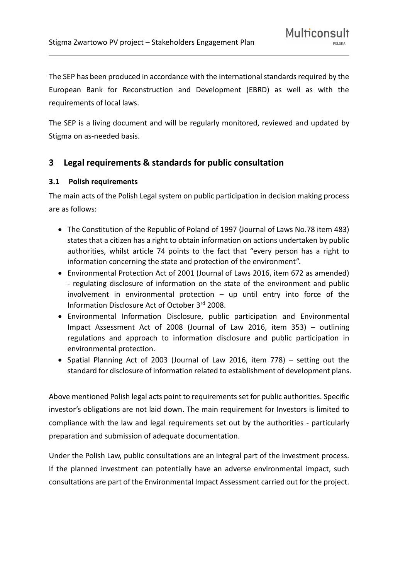The SEP has been produced in accordance with the international standards required by the European Bank for Reconstruction and Development (EBRD) as well as with the requirements of local laws.

The SEP is a living document and will be regularly monitored, reviewed and updated by Stigma on as-needed basis.

# **3 Legal requirements & standards for public consultation**

#### **3.1 Polish requirements**

The main acts of the Polish Legal system on public participation in decision making process are as follows:

- The Constitution of the Republic of Poland of 1997 (Journal of Laws No.78 item 483) states that a citizen has a right to obtain information on actions undertaken by public authorities, whilst article 74 points to the fact that "every person has a right to information concerning the state and protection of the environment".
- Environmental Protection Act of 2001 (Journal of Laws 2016, item 672 as amended) - regulating disclosure of information on the state of the environment and public involvement in environmental protection – up until entry into force of the Information Disclosure Act of October 3rd 2008.
- Environmental Information Disclosure, public participation and Environmental Impact Assessment Act of 2008 (Journal of Law 2016, item 353) – outlining regulations and approach to information disclosure and public participation in environmental protection.
- Spatial Planning Act of 2003 (Journal of Law 2016, item 778) setting out the standard for disclosure of information related to establishment of development plans.

Above mentioned Polish legal acts point to requirements set for public authorities. Specific investor's obligations are not laid down. The main requirement for Investors is limited to compliance with the law and legal requirements set out by the authorities - particularly preparation and submission of adequate documentation.

Under the Polish Law, public consultations are an integral part of the investment process. If the planned investment can potentially have an adverse environmental impact, such consultations are part of the Environmental Impact Assessment carried out for the project.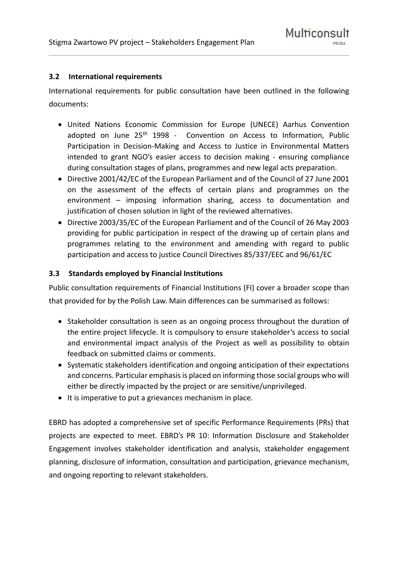#### **3.2 International requirements**

International requirements for public consultation have been outlined in the following documents:

- United Nations Economic Commission for Europe (UNECE) Aarhus Convention adopted on June 25<sup>th</sup> 1998 - Convention on Access to Information, Public Participation in Decision-Making and Access to Justice in Environmental Matters intended to grant NGO's easier access to decision making - ensuring compliance during consultation stages of plans, programmes and new legal acts preparation.
- Directive 2001/42/EC of the European Parliament and of the Council of 27 June 2001 on the assessment of the effects of certain plans and programmes on the environment – imposing information sharing, access to documentation and justification of chosen solution in light of the reviewed alternatives.
- Directive 2003/35/EC of the European Parliament and of the Council of 26 May 2003 providing for public participation in respect of the drawing up of certain plans and programmes relating to the environment and amending with regard to public participation and access to justice Council Directives 85/337/EEC and 96/61/EC

#### **3.3 Standards employed by Financial Institutions**

Public consultation requirements of Financial Institutions (FI) cover a broader scope than that provided for by the Polish Law. Main differences can be summarised as follows:

- Stakeholder consultation is seen as an ongoing process throughout the duration of the entire project lifecycle. It is compulsory to ensure stakeholder's access to social and environmental impact analysis of the Project as well as possibility to obtain feedback on submitted claims or comments.
- Systematic stakeholders identification and ongoing anticipation of their expectations and concerns. Particular emphasis is placed on informing those social groups who will either be directly impacted by the project or are sensitive/unprivileged.
- It is imperative to put a grievances mechanism in place.

EBRD has adopted a comprehensive set of specific Performance Requirements (PRs) that projects are expected to meet. EBRD's PR 10: Information Disclosure and Stakeholder Engagement involves stakeholder identification and analysis, stakeholder engagement planning, disclosure of information, consultation and participation, grievance mechanism, and ongoing reporting to relevant stakeholders.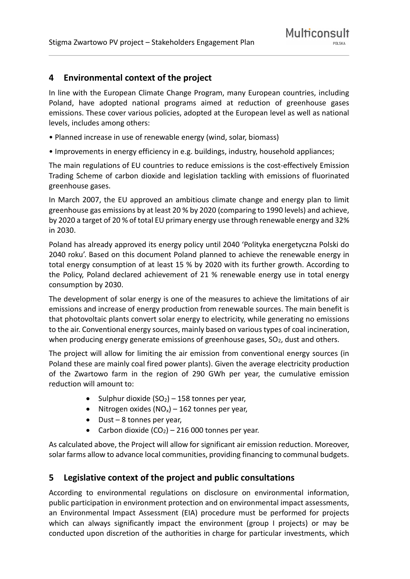## **4 Environmental context of the project**

In line with the European Climate Change Program, many European countries, including Poland, have adopted national programs aimed at reduction of greenhouse gases emissions. These cover various policies, adopted at the European level as well as national levels, includes among others:

- Planned increase in use of renewable energy (wind, solar, biomass)
- Improvements in energy efficiency in e.g. buildings, industry, household appliances;

The main regulations of EU countries to reduce emissions is the cost-effectively Emission Trading Scheme of carbon dioxide and legislation tackling with emissions of fluorinated greenhouse gases.

In March 2007, the EU approved an ambitious climate change and energy plan to limit greenhouse gas emissions by at least 20 % by 2020 (comparing to 1990 levels) and achieve, by 2020 a target of 20 % of total EU primary energy use through renewable energy and 32% in 2030.

Poland has already approved its energy policy until 2040 'Polityka energetyczna Polski do 2040 roku'. Based on this document Poland planned to achieve the renewable energy in total energy consumption of at least 15 % by 2020 with its further growth. According to the Policy, Poland declared achievement of 21 % renewable energy use in total energy consumption by 2030.

The development of solar energy is one of the measures to achieve the limitations of air emissions and increase of energy production from renewable sources. The main benefit is that photovoltaic plants convert solar energy to electricity, while generating no emissions to the air. Conventional energy sources, mainly based on various types of coal incineration, when producing energy generate emissions of greenhouse gases,  $SO<sub>2</sub>$ , dust and others.

The project will allow for limiting the air emission from conventional energy sources (in Poland these are mainly coal fired power plants). Given the average electricity production of the Zwartowo farm in the region of 290 GWh per year, the cumulative emission reduction will amount to:

- Sulphur dioxide  $(SO<sub>2</sub>)$  158 tonnes per year,
- Nitrogen oxides  $(NO_x)$  162 tonnes per year,
- Dust 8 tonnes per year,
- Carbon dioxide  $(CO_2)$  216 000 tonnes per year.

As calculated above, the Project will allow for significant air emission reduction. Moreover, solar farms allow to advance local communities, providing financing to communal budgets.

### **5 Legislative context of the project and public consultations**

According to environmental regulations on disclosure on environmental information, public participation in environment protection and on environmental impact assessments, an Environmental Impact Assessment (EIA) procedure must be performed for projects which can always significantly impact the environment (group I projects) or may be conducted upon discretion of the authorities in charge for particular investments, which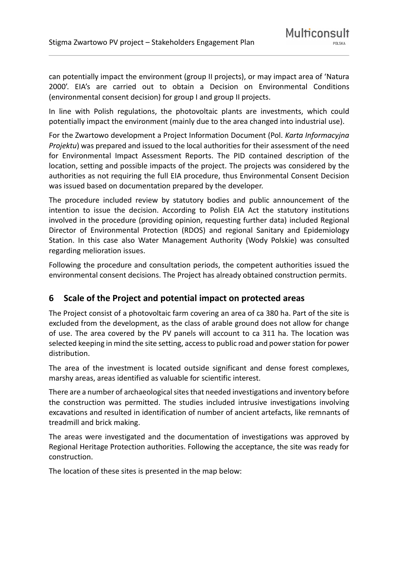can potentially impact the environment (group II projects), or may impact area of 'Natura 2000'. EIA's are carried out to obtain a Decision on Environmental Conditions (environmental consent decision) for group I and group II projects.

In line with Polish regulations, the photovoltaic plants are investments, which could potentially impact the environment (mainly due to the area changed into industrial use).

For the Zwartowo development a Project Information Document (Pol. *Karta Informacyjna Projektu*) was prepared and issued to the local authorities for their assessment of the need for Environmental Impact Assessment Reports. The PID contained description of the location, setting and possible impacts of the project. The projects was considered by the authorities as not requiring the full EIA procedure, thus Environmental Consent Decision was issued based on documentation prepared by the developer.

The procedure included review by statutory bodies and public announcement of the intention to issue the decision. According to Polish EIA Act the statutory institutions involved in the procedure (providing opinion, requesting further data) included Regional Director of Environmental Protection (RDOS) and regional Sanitary and Epidemiology Station. In this case also Water Management Authority (Wody Polskie) was consulted regarding melioration issues.

Following the procedure and consultation periods, the competent authorities issued the environmental consent decisions. The Project has already obtained construction permits.

### **6 Scale of the Project and potential impact on protected areas**

The Project consist of a photovoltaic farm covering an area of ca 380 ha. Part of the site is excluded from the development, as the class of arable ground does not allow for change of use. The area covered by the PV panels will account to ca 311 ha. The location was selected keeping in mind the site setting, access to public road and power station for power distribution.

The area of the investment is located outside significant and dense forest complexes, marshy areas, areas identified as valuable for scientific interest.

There are a number of archaeological sites that needed investigations and inventory before the construction was permitted. The studies included intrusive investigations involving excavations and resulted in identification of number of ancient artefacts, like remnants of treadmill and brick making.

The areas were investigated and the documentation of investigations was approved by Regional Heritage Protection authorities. Following the acceptance, the site was ready for construction.

The location of these sites is presented in the map below: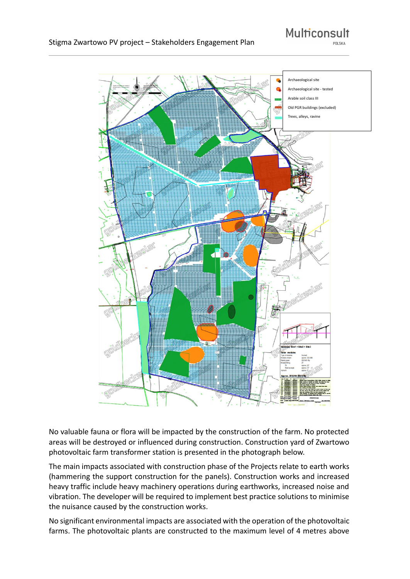



No valuable fauna or flora will be impacted by the construction of the farm. No protected areas will be destroyed or influenced during construction. Construction yard of Zwartowo photovoltaic farm transformer station is presented in the photograph below.

The main impacts associated with construction phase of the Projects relate to earth works (hammering the support construction for the panels). Construction works and increased heavy traffic include heavy machinery operations during earthworks, increased noise and vibration. The developer will be required to implement best practice solutions to minimise the nuisance caused by the construction works.

No significant environmental impacts are associated with the operation of the photovoltaic farms. The photovoltaic plants are constructed to the maximum level of 4 metres above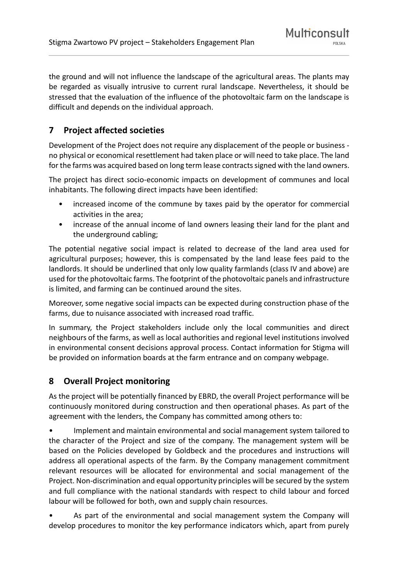the ground and will not influence the landscape of the agricultural areas. The plants may be regarded as visually intrusive to current rural landscape. Nevertheless, it should be stressed that the evaluation of the influence of the photovoltaic farm on the landscape is difficult and depends on the individual approach.

# **7 Project affected societies**

Development of the Project does not require any displacement of the people or business no physical or economical resettlement had taken place or will need to take place. The land for the farms was acquired based on long term lease contracts signed with the land owners.

The project has direct socio-economic impacts on development of communes and local inhabitants. The following direct impacts have been identified:

- increased income of the commune by taxes paid by the operator for commercial activities in the area;
- increase of the annual income of land owners leasing their land for the plant and the underground cabling;

The potential negative social impact is related to decrease of the land area used for agricultural purposes; however, this is compensated by the land lease fees paid to the landlords. It should be underlined that only low quality farmlands (class IV and above) are used for the photovoltaic farms. The footprint of the photovoltaic panels and infrastructure is limited, and farming can be continued around the sites.

Moreover, some negative social impacts can be expected during construction phase of the farms, due to nuisance associated with increased road traffic.

In summary, the Project stakeholders include only the local communities and direct neighbours of the farms, as well as local authorities and regional level institutions involved in environmental consent decisions approval process. Contact information for Stigma will be provided on information boards at the farm entrance and on company webpage.

# **8 Overall Project monitoring**

As the project will be potentially financed by EBRD, the overall Project performance will be continuously monitored during construction and then operational phases. As part of the agreement with the lenders, the Company has committed among others to:

• Implement and maintain environmental and social management system tailored to the character of the Project and size of the company. The management system will be based on the Policies developed by Goldbeck and the procedures and instructions will address all operational aspects of the farm. By the Company management commitment relevant resources will be allocated for environmental and social management of the Project. Non-discrimination and equal opportunity principles will be secured by the system and full compliance with the national standards with respect to child labour and forced labour will be followed for both, own and supply chain resources.

As part of the environmental and social management system the Company will develop procedures to monitor the key performance indicators which, apart from purely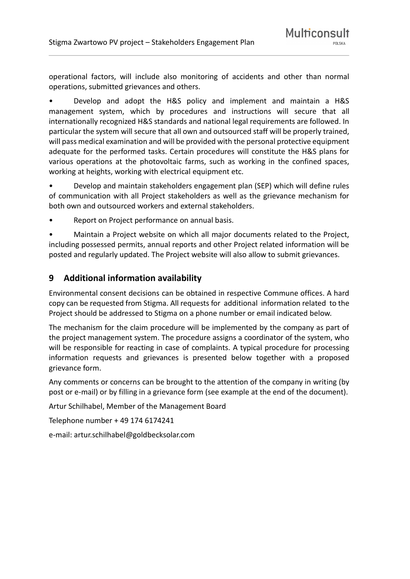operational factors, will include also monitoring of accidents and other than normal operations, submitted grievances and others.

• Develop and adopt the H&S policy and implement and maintain a H&S management system, which by procedures and instructions will secure that all internationally recognized H&S standards and national legal requirements are followed. In particular the system will secure that all own and outsourced staff will be properly trained, will pass medical examination and will be provided with the personal protective equipment adequate for the performed tasks. Certain procedures will constitute the H&S plans for various operations at the photovoltaic farms, such as working in the confined spaces, working at heights, working with electrical equipment etc.

• Develop and maintain stakeholders engagement plan (SEP) which will define rules of communication with all Project stakeholders as well as the grievance mechanism for both own and outsourced workers and external stakeholders.

• Report on Project performance on annual basis.

• Maintain a Project website on which all major documents related to the Project, including possessed permits, annual reports and other Project related information will be posted and regularly updated. The Project website will also allow to submit grievances.

### **9 Additional information availability**

Environmental consent decisions can be obtained in respective Commune offices. A hard copy can be requested from Stigma. All requests for additional information related to the Project should be addressed to Stigma on a phone number or email indicated below.

The mechanism for the claim procedure will be implemented by the company as part of the project management system. The procedure assigns a coordinator of the system, who will be responsible for reacting in case of complaints. A typical procedure for processing information requests and grievances is presented below together with a proposed grievance form.

Any comments or concerns can be brought to the attention of the company in writing (by post or e-mail) or by filling in a grievance form (see example at the end of the document).

Artur Schilhabel, Member of the Management Board

Telephone number + 49 174 6174241

e-mail: artur.schilhabel@goldbecksolar.com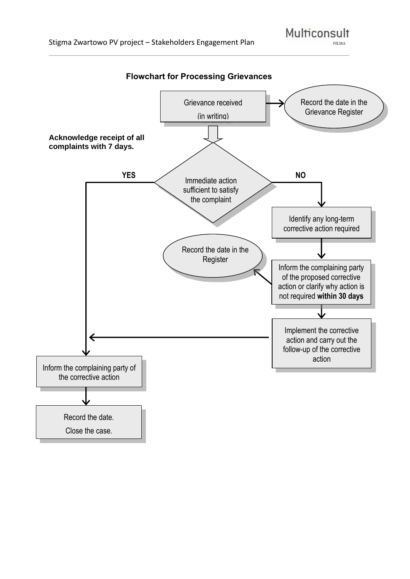PNLSKA



Multiconsult